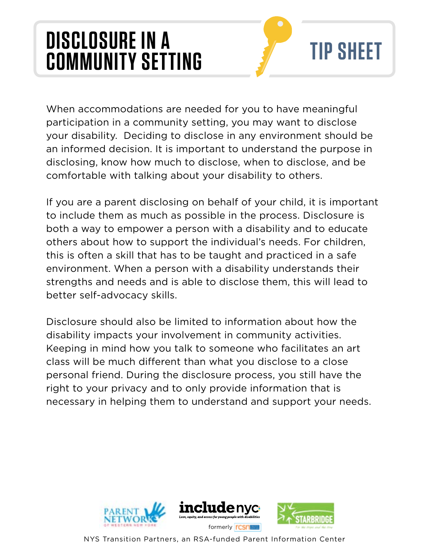## **DISCLOSURE IN A COMMUNITY SETTING**



When accommodations are needed for you to have meaningful participation in a community setting, you may want to disclose your disability. Deciding to disclose in any environment should be an informed decision. It is important to understand the purpose in disclosing, know how much to disclose, when to disclose, and be comfortable with talking about your disability to others.

If you are a parent disclosing on behalf of your child, it is important to include them as much as possible in the process. Disclosure is both a way to empower a person with a disability and to educate others about how to support the individual's needs. For children, this is often a skill that has to be taught and practiced in a safe environment. When a person with a disability understands their strengths and needs and is able to disclose them, this will lead to better self-advocacy skills.

Disclosure should also be limited to information about how the disability impacts your involvement in community activities. Keeping in mind how you talk to someone who facilitates an art class will be much diferent than what you disclose to a close personal friend. During the disclosure process, you still have the right to your privacy and to only provide information that is necessary in helping them to understand and support your needs.



NYS Transition Partners, an RSA-funded Parent Information Center